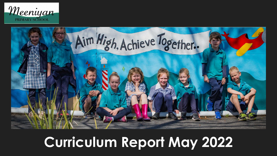



## **Curriculum Report May 2022**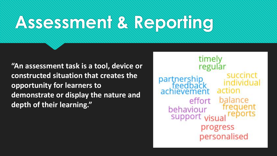# **Assessment & Reporting**

**"An assessment task is a tool, device or constructed situation that creates the opportunity for learners to demonstrate or display the nature and depth of their learning."**

timel regula succinct partnersh individual achievemen action balance effort frequent behaviour support visu progress personalised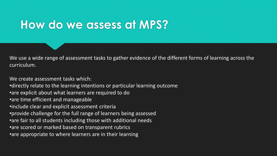#### **How do we assess at MPS?**

We use a wide range of assessment tasks to gather evidence of the different forms of learning across the curriculum.

We create assessment tasks which: •directly relate to the learning intentions or particular learning outcome •are explicit about what learners are required to do •are time efficient and manageable •include clear and explicit assessment criteria •provide challenge for the full range of learners being assessed •are fair to all students including those with additional needs •are scored or marked based on transparent rubrics •are appropriate to where learners are in their learning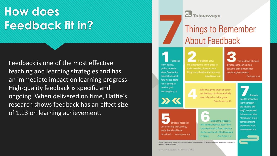### **How does Feedback fit in?**

Feedback is one of the most effective teaching and learning strategies and has an immediate impact on learning progress. High-quality feedback is specific and ongoing. When delivered on time, Hattie's research shows feedback has an effect size of 1.13 on learning achievement.



**akeawavs**